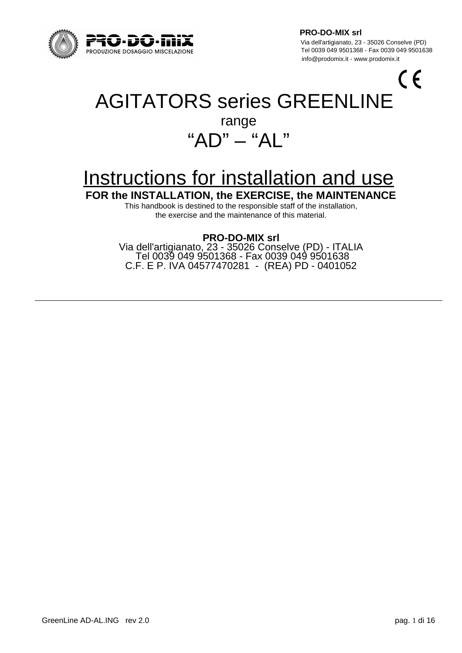

 Via dell'artigianato, 23 - 35026 Conselve (PD) Tel 0039 049 9501638<br>PRODUZIONE DOSAGGIO MISCELAZIONE CHE ANNO 1998 0200 0200 100 Tel 0039 049 9501368 - Fax 0039 049 9501638 info@prodomix.it - www.prodomix.it

 $\zeta$ 

# AGITATORS series GREENLINE

## range " $AD" - "AI"$

## Instructions for installation and use

**FOR the INSTALLATION, the EXERCISE, the MAINTENANCE**

This handbook is destined to the responsible staff of the installation, the exercise and the maintenance of this material.

#### **PRO-DO-MIX srl**

Via dell'artigianato, 23 - 35026 Conselve (PD) - ITALIA Tel 0039 049 9501368 - Fax 0039 049 9501638 C.F. E P. IVA 04577470281 - (REA) PD - 0401052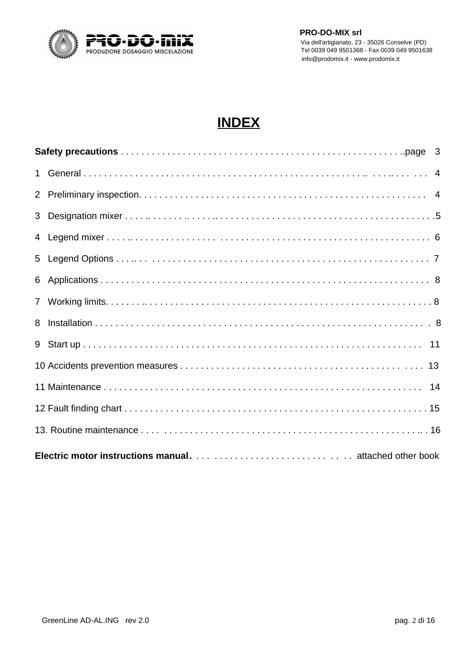

## **INDEX**

| 8 |  |  |  |  |  |
|---|--|--|--|--|--|
|   |  |  |  |  |  |
|   |  |  |  |  |  |
|   |  |  |  |  |  |
|   |  |  |  |  |  |
|   |  |  |  |  |  |
|   |  |  |  |  |  |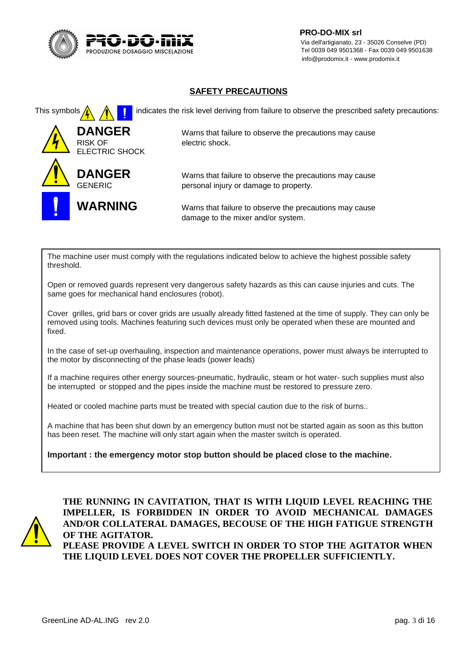

 **PRO-DO-MIX srl** Via dell'artigianato, 23 - 35026 Conselve (PD) Tel 0039 049 9501638 - Fax 0039 049 9501638 - Fax 0039 049 9501638 - Fax 0039 049 9501638 - Fax 0039 049 9501638 info@prodomix.it - www.prodomix.it

#### **SAFETY PRECAUTIONS**



The machine user must comply with the regulations indicated below to achieve the highest possible safety threshold.

Open or removed guards represent very dangerous safety hazards as this can cause injuries and cuts. The same goes for mechanical hand enclosures (robot).

Cover grilles, grid bars or cover grids are usually already fitted fastened at the time of supply. They can only be removed using tools. Machines featuring such devices must only be operated when these are mounted and fixed.

In the case of set-up overhauling, inspection and maintenance operations, power must always be interrupted to the motor by disconnecting of the phase leads (power leads)

If a machine requires other energy sources-pneumatic, hydraulic, steam or hot water- such supplies must also be interrupted or stopped and the pipes inside the machine must be restored to pressure zero.

Heated or cooled machine parts must be treated with special caution due to the risk of burns..

A machine that has been shut down by an emergency button must not be started again as soon as this button has been reset. The machine will only start again when the master switch is operated.

**Important : the emergency motor stop button should be placed close to the machine.**



**THE RUNNING IN CAVITATION, THAT IS WITH LIQUID LEVEL REACHING THE IMPELLER, IS FORBIDDEN IN ORDER TO AVOID MECHANICAL DAMAGES AND/OR COLLATERAL DAMAGES, BECOUSE OF THE HIGH FATIGUE STRENGTH OF THE AGITATOR. PLEASE PROVIDE A LEVEL SWITCH IN ORDER TO STOP THE AGITATOR WHEN**

**THE LIQUID LEVEL DOES NOT COVER THE PROPELLER SUFFICIENTLY.**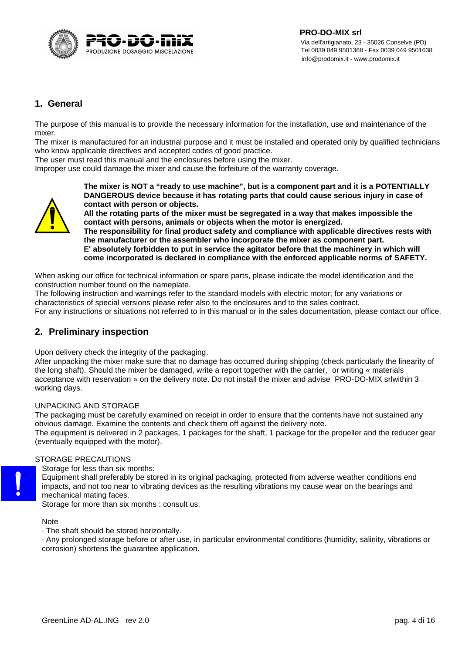

#### **1. General**

The purpose of this manual is to provide the necessary information for the installation, use and maintenance of the mixer.

The mixer is manufactured for an industrial purpose and it must be installed and operated only by qualified technicians who know applicable directives and accepted codes of good practice.

The user must read this manual and the enclosures before using the mixer.

Improper use could damage the mixer and cause the forfeiture of the warranty coverage.



**The mixer is NOT a "ready to use machine", but is a component part and it is a POTENTIALLY DANGEROUS device because it has rotating parts that could cause serious injury in case of contact with person or objects.**

**All the rotating parts of the mixer must be segregated in a way that makes impossible the contact with persons, animals or objects when the motor is energized.**

**The responsibility for final product safety and compliance with applicable directives rests with the manufacturer or the assembler who incorporate the mixer as component part. E' absolutely forbidden to put in service the agitator before that the machinery in which will come incorporated is declared in compliance with the enforced applicable norms of SAFETY.**

When asking our office for technical information or spare parts, please indicate the model identification and the construction number found on the nameplate.

The following instruction and warnings refer to the standard models with electric motor; for any variations or characteristics of special versions please refer also to the enclosures and to the sales contract.

For any instructions or situations not referred to in this manual or in the sales documentation, please contact our office.

#### **2. Preliminary inspection**

Upon delivery check the integrity of the packaging.

After unpacking the mixer make sure that no damage has occurred during shipping (check particularly the linearity of the long shaft). Should the mixer be damaged, write a report together with the carrier, or writing « materials acceptance with reservation » on the delivery note. Do not install the mixer and advise PRO-DO-MIX srlwithin 3 working days.

UNPACKING AND STORAGE

The packaging must be carefully examined on receipt in order to ensure that the contents have not sustained any obvious damage. Examine the contents and check them off against the delivery note.

The equipment is delivered in 2 packages, 1 packages for the shaft, 1 package for the propeller and the reducer gear (eventually equipped with the motor).

#### STORAGE PRECAUTIONS

Storage for less than six months:

Equipment shall preferably be stored in its original packaging, protected from adverse weather conditions end impacts, and not too near to vibrating devices as the resulting vibrations my cause wear on the bearings and mechanical mating faces.

Storage for more than six months : consult us.

#### Note

· The shaft should be stored horizontally.

· Any prolonged storage before or after use, in particular environmental conditions (humidity, salinity, vibrations or corrosion) shortens the guarantee application.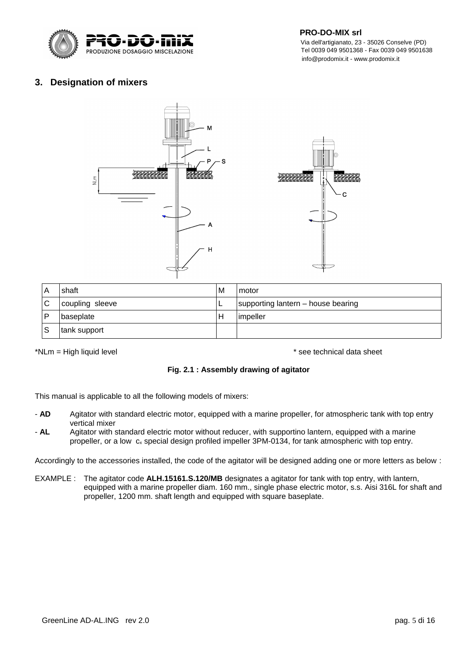

 Via dell'artigianato, 23 - 35026 Conselve (PD) Tel 0039 049 9501638<br>PRODUZIONE DOSAGGIO MISCELAZIONE CHE ANNO 1998 0200 0200 10039 049 9501368 - Fax 0039 049 9501638 info@prodomix.it - www.prodomix.it

#### **3. Designation of mixers**



| A                         | shaft        | м | motor                              |  |
|---------------------------|--------------|---|------------------------------------|--|
| ⌒<br>coupling sleeve<br>◡ |              |   | supporting lantern – house bearing |  |
| D                         | baseplate    |   | impeller                           |  |
| c<br>っ                    | tank support |   |                                    |  |

\*NLm = High liquid level  $*$  see technical data sheet

#### **Fig. 2.1 : Assembly drawing of agitator**

This manual is applicable to all the following models of mixers:

- **AD** Agitator with standard electric motor, equipped with a marine propeller, for atmospheric tank with top entry vertical mixer
- **AL** Agitator with standard electric motor without reducer, with supportino lantern, equipped with a marine propeller, or a low c<sub>x</sub> special design profiled impeller 3PM-0134, for tank atmospheric with top entry.

Accordingly to the accessories installed, the code of the agitator will be designed adding one or more letters as below :

EXAMPLE : The agitator code **ALH.15161.S.120/MB** designates a agitator for tank with top entry, with lantern, equipped with a marine propeller diam. 160 mm., single phase electric motor, s.s. Aisi 316L for shaft and propeller, 1200 mm. shaft length and equipped with square baseplate.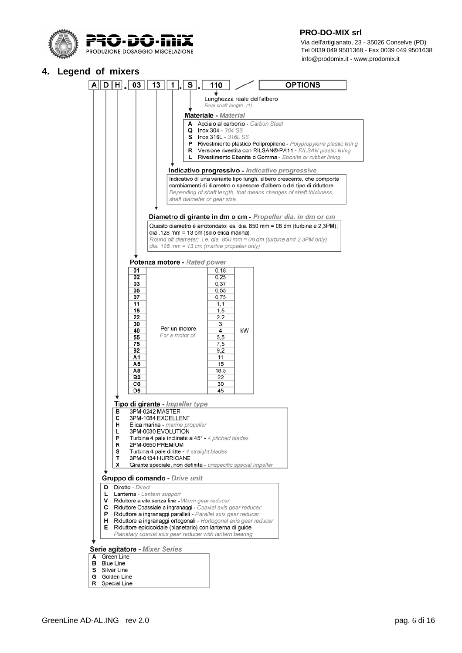

 Via dell'artigianato, 23 - 35026 Conselve (PD) Tel 0039 049 9501368 - Fax 0039 049 9501638 info@prodomix.it - www.prodomix.it

#### **4. Legend of mixers**

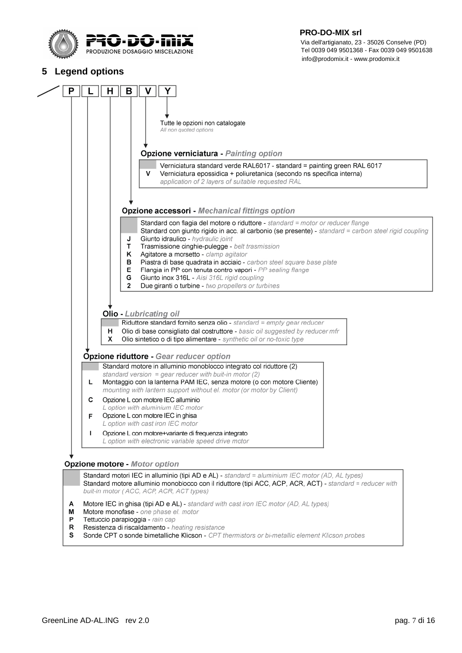

 Via dell'artigianato, 23 - 35026 Conselve (PD) Tel 0039 049 9501638<br>PRODUZIONE DOSAGGIO MISCELAZIONE CHE ANNO 1998 0200 0200 100 Tel 0039 049 9501368 - Fax 0039 049 9501638 info@prodomix.it - www.prodomix.it

#### **5 Legend options**



A M

P

 $\mathsf R$ 

S

buit-in motor ( ACC, ACP, ACR, ACT types)

Resistenza di riscaldamento - heating resistance

Motore monofase - one phase el. motor

Tettuccio parapioggia - rain cap

Motore IEC in ghisa (tipi AD e AL) - standard with cast iron IEC motor (AD, AL types)

Sonde CPT o sonde bimetalliche Klicson - CPT thermistors or bi-metallic element Klicson probes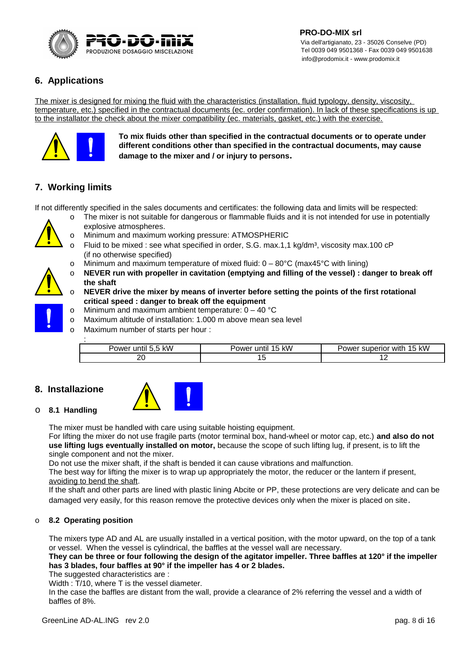

#### **6. Applications**

The mixer is designed for mixing the fluid with the characteristics (installation, fluid typology, density, viscosity, temperature, etc.) specified in the contractual documents (ec. order confirmation). In lack of these specifications is up to the installator the check about the mixer compatibility (ec. materials, gasket, etc.) with the exercise.



**To mix fluids other than specified in the contractual documents or to operate under different conditions other than specified in the contractual documents, may cause damage to the mixer and / or injury to persons.**

#### **7. Working limits**

If not differently specified in the sales documents and certificates: the following data and limits will be respected:

- 
- The mixer is not suitable for dangerous or flammable fluids and it is not intended for use in potentially explosive atmospheres.
- o Minimum and maximum working pressure: ATMOSPHERIC
- o Fluid to be mixed : see what specified in order, S.G. max.1,1 kg/dm<sup>3</sup>, viscosity max.100 cP (if no otherwise specified)
- o Minimum and maximum temperature of mixed fluid:  $0 80^{\circ}$ C (max45<sup>o</sup>C with lining)
- o **NEVER run with propeller in cavitation (emptying and filling of the vessel) : danger to break off the shaft**
- o **NEVER drive the mixer by means of inverter before setting the points of the first rotational critical speed : danger to break off the equipment**
- o Minimum and maximum ambient temperature: 0 40 °C
- o Maximum altitude of installation: 1.000 m above mean sea level
- o Maximum number of starts per hour :

| Power until 5,5 kW | Power until 15 kW | Power superior with 15 kW |
|--------------------|-------------------|---------------------------|
|                    | ᅩ                 | --                        |

#### **8. Installazione**



#### o **8.1 Handling**

The mixer must be handled with care using suitable hoisting equipment.

For lifting the mixer do not use fragile parts (motor terminal box, hand-wheel or motor cap, etc.) **and also do not use lifting lugs eventually installed on motor,** because the scope of such lifting lug, if present, is to lift the single component and not the mixer.

Do not use the mixer shaft, if the shaft is bended it can cause vibrations and malfunction.

The best way for lifting the mixer is to wrap up appropriately the motor, the reducer or the lantern if present, avoiding to bend the shaft.

If the shaft and other parts are lined with plastic lining Abcite or PP, these protections are very delicate and can be damaged very easily, for this reason remove the protective devices only when the mixer is placed on site.

#### o **8.2 Operating position**

The mixers type AD and AL are usually installed in a vertical position, with the motor upward, on the top of a tank or vessel. When the vessel is cylindrical, the baffles at the vessel wall are necessary.

#### **They can be three or four following the design of the agitator impeller. Three baffles at 120° if the impeller has 3 blades, four baffles at 90° if the impeller has 4 or 2 blades.**

The suggested characteristics are :

Width : T/10, where T is the vessel diameter.

In the case the baffles are distant from the wall, provide a clearance of 2% referring the vessel and a width of baffles of 8%.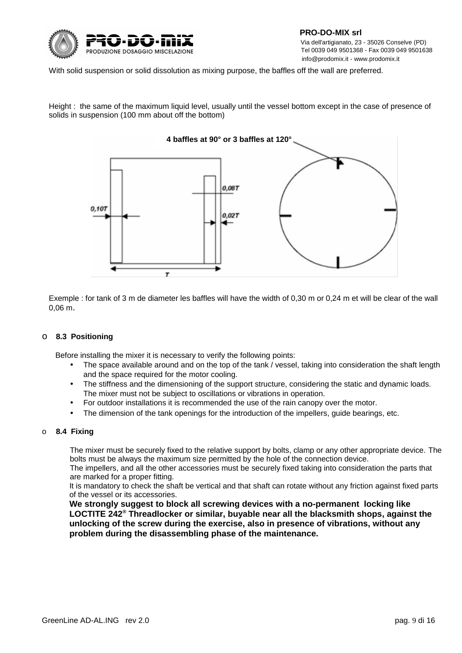

With solid suspension or solid dissolution as mixing purpose, the baffles off the wall are preferred.

Height : the same of the maximum liquid level, usually until the vessel bottom except in the case of presence of solids in suspension (100 mm about off the bottom)



Exemple : for tank of 3 m de diameter les baffles will have the width of 0,30 m or 0,24 m et will be clear of the wall 0,06 m.

#### o **8.3 Positioning**

Before installing the mixer it is necessary to verify the following points:

- The space available around and on the top of the tank / vessel, taking into consideration the shaft length and the space required for the motor cooling.
- The stiffness and the dimensioning of the support structure, considering the static and dynamic loads. The mixer must not be subject to oscillations or vibrations in operation.
- For outdoor installations it is recommended the use of the rain canopy over the motor.
- The dimension of the tank openings for the introduction of the impellers, guide bearings, etc.

#### o **8.4 Fixing**

The mixer must be securely fixed to the relative support by bolts, clamp or any other appropriate device. The bolts must be always the maximum size permitted by the hole of the connection device.

The impellers, and all the other accessories must be securely fixed taking into consideration the parts that are marked for a proper fitting.

It is mandatory to check the shaft be vertical and that shaft can rotate without any friction against fixed parts of the vessel or its accessories.

**We strongly suggest to block all screwing devices with a no-permanent locking like LOCTITE 242® Threadlocker or similar, buyable near all the blacksmith shops, against the unlocking of the screw during the exercise, also in presence of vibrations, without any problem during the disassembling phase of the maintenance.**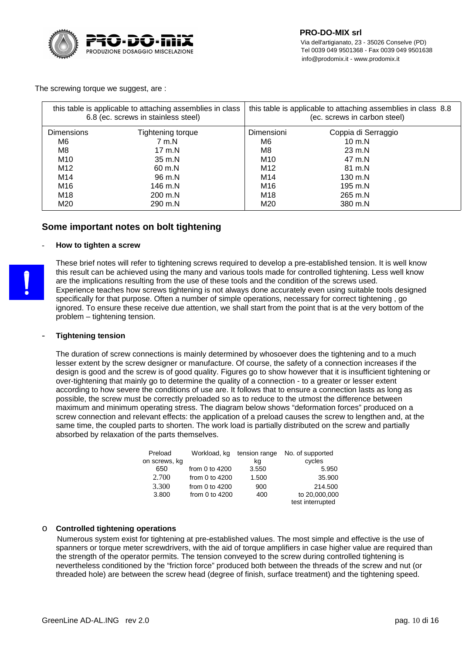

The screwing torque we suggest, are :

|                                        | this table is applicable to attaching assemblies in class<br>6.8 (ec. screws in stainless steel) | this table is applicable to attaching assemblies in class 8.8<br>(ec. screws in carbon steel) |                     |  |
|----------------------------------------|--------------------------------------------------------------------------------------------------|-----------------------------------------------------------------------------------------------|---------------------|--|
| <b>Dimensions</b><br>Tightening torque |                                                                                                  | Dimensioni                                                                                    | Coppia di Serraggio |  |
| M6                                     | 7 m.N                                                                                            | M6                                                                                            | $10 \text{ m}$ .N   |  |
| M8                                     | $17 \text{ m}$ .N                                                                                | M8                                                                                            | $23 \text{ m}$ .N   |  |
| M10<br>35 m.N                          |                                                                                                  | M10                                                                                           | 47 m.N              |  |
| M12                                    | 60 m.N                                                                                           | M12                                                                                           | 81 m.N              |  |
| M14                                    | 96 m.N                                                                                           | M14                                                                                           | 130 m.N             |  |
| M16                                    | 146 m.N                                                                                          | M16                                                                                           | 195 m.N             |  |
| M18<br>200 m.N<br>M20<br>290 m.N       |                                                                                                  | M18                                                                                           | 265 m.N             |  |
|                                        |                                                                                                  | M20                                                                                           | 380 m.N             |  |

#### **Some important notes on bolt tightening**

#### - **How to tighten a screw**



These brief notes will refer to tightening screws required to develop a pre-established tension. It is well know this result can be achieved using the many and various tools made for controlled tightening. Less well know are the implications resulting from the use of these tools and the condition of the screws used. Experience teaches how screws tightening is not always done accurately even using suitable tools designed specifically for that purpose. Often a number of simple operations, necessary for correct tightening , go ignored. To ensure these receive due attention, we shall start from the point that is at the very bottom of the problem – tightening tension.

#### - **Tightening tension**

The duration of screw connections is mainly determined by whosoever does the tightening and to a much lesser extent by the screw designer or manufacture. Of course, the safety of a connection increases if the design is good and the screw is of good quality. Figures go to show however that it is insufficient tightening or over-tightening that mainly go to determine the quality of a connection - to a greater or lesser extent according to how severe the conditions of use are. It follows that to ensure a connection lasts as long as possible, the screw must be correctly preloaded so as to reduce to the utmost the difference between maximum and minimum operating stress. The diagram below shows "deformation forces" produced on a screw connection and relevant effects: the application of a preload causes the screw to lengthen and, at the same time, the coupled parts to shorten. The work load is partially distributed on the screw and partially absorbed by relaxation of the parts themselves.

| Preload       | Workload, kg     | tension range | No. of supported |
|---------------|------------------|---------------|------------------|
| on screws, kg |                  | kq            | cycles           |
| 650           | from 0 to $4200$ | 3.550         | 5.950            |
| 2.700         | from 0 to $4200$ | 1.500         | 35,900           |
| 3.300         | from 0 to $4200$ | 900           | 214,500          |
| 3.800         | from 0 to $4200$ | 400           | to 20,000,000    |
|               |                  |               | test interrupted |

#### o **Controlled tightening operations**

 Numerous system exist for tightening at pre-established values. The most simple and effective is the use of spanners or torque meter screwdrivers, with the aid of torque amplifiers in case higher value are required than the strength of the operator permits. The tension conveyed to the screw during controlled tightening is nevertheless conditioned by the "friction force" produced both between the threads of the screw and nut (or threaded hole) are between the screw head (degree of finish, surface treatment) and the tightening speed.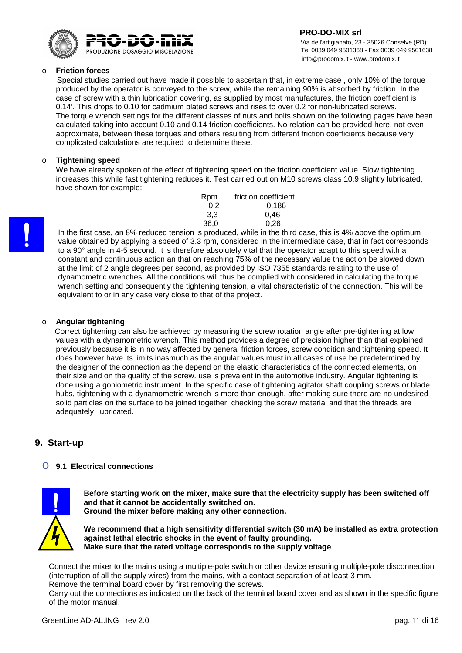

 Via dell'artigianato, 23 - 35026 Conselve (PD) Tel 0039 049 9501368 - Fax 0039 049 9501638 info@prodomix.it - www.prodomix.it

#### o **Friction forces**

 Special studies carried out have made it possible to ascertain that, in extreme case , only 10% of the torque produced by the operator is conveyed to the screw, while the remaining 90% is absorbed by friction. In the case of screw with a thin lubrication covering, as supplied by most manufactures, the friction coefficient is 0.14'. This drops to 0.10 for cadmium plated screws and rises to over 0.2 for non-lubricated screws. The torque wrench settings for the different classes of nuts and bolts shown on the following pages have been calculated taking into account 0.10 and 0.14 friction coefficients. No relation can be provided here, not even approximate, between these torques and others resulting from different friction coefficients because very complicated calculations are required to determine these.

#### o **Tightening speed**

We have already spoken of the effect of tightening speed on the friction coefficient value. Slow tightening increases this while fast tightening reduces it. Test carried out on M10 screws class 10.9 slightly lubricated, have shown for example:

| Rpm  | friction coefficient |
|------|----------------------|
| 0.2  | 0.186                |
| 3.3  | 0.46                 |
| 36.0 | 0.26                 |
|      |                      |

In the first case, an 8% reduced tension is produced, while in the third case, this is 4% above the optimum value obtained by applying a speed of 3.3 rpm, considered in the intermediate case, that in fact corresponds to a 90° angle in 4-5 second. It is therefore absolutely vital that the operator adapt to this speed with a constant and continuous action an that on reaching 75% of the necessary value the action be slowed down at the limit of 2 angle degrees per second, as provided by ISO 7355 standards relating to the use of dynamometric wrenches. All the conditions will thus be complied with considered in calculating the torque wrench setting and consequently the tightening tension, a vital characteristic of the connection. This will be equivalent to or in any case very close to that of the project.

#### o **Angular tightening**

Correct tightening can also be achieved by measuring the screw rotation angle after pre-tightening at low values with a dynamometric wrench. This method provides a degree of precision higher than that explained previously because it is in no way affected by general friction forces, screw condition and tightening speed. It does however have its limits inasmuch as the angular values must in all cases of use be predetermined by the designer of the connection as the depend on the elastic characteristics of the connected elements, on their size and on the quality of the screw. use is prevalent in the automotive industry. Angular tightening is done using a goniometric instrument. In the specific case of tightening agitator shaft coupling screws or blade hubs, tightening with a dynamometric wrench is more than enough, after making sure there are no undesired solid particles on the surface to be joined together, checking the screw material and that the threads are adequately lubricated.

#### **9. Start-up**

#### o **9.1 Electrical connections**



**Before starting work on the mixer, make sure that the electricity supply has been switched off and that it cannot be accidentally switched on. Ground the mixer before making any other connection.**

**We recommend that a high sensitivity differential switch (30 mA) be installed as extra protection against lethal electric shocks in the event of faulty grounding. Make sure that the rated voltage corresponds to the supply voltage**

Connect the mixer to the mains using a multiple-pole switch or other device ensuring multiple-pole disconnection (interruption of all the supply wires) from the mains, with a contact separation of at least 3 mm. Remove the terminal board cover by first removing the screws.

Carry out the connections as indicated on the back of the terminal board cover and as shown in the specific figure of the motor manual.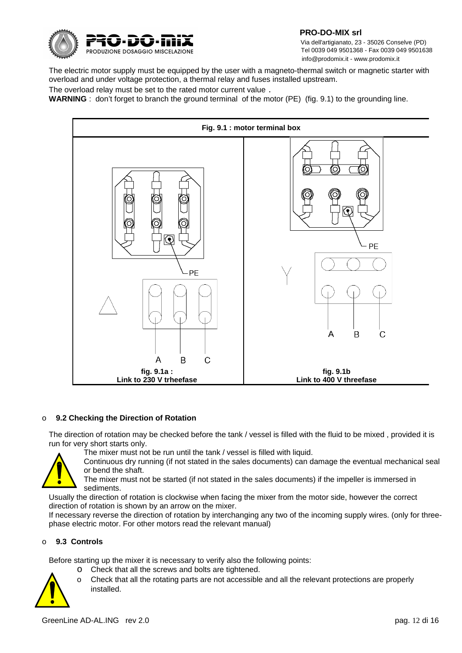

 Via dell'artigianato, 23 - 35026 Conselve (PD) Tel 0039 049 9501368 - Fax 0039 049 9501638 info@prodomix.it - www.prodomix.it

The electric motor supply must be equipped by the user with a magneto-thermal switch or magnetic starter with overload and under voltage protection, a thermal relay and fuses installed upstream.

The overload relay must be set to the rated motor current value .

**WARNING** : don't forget to branch the ground terminal of the motor (PE) (fig. 9.1) to the grounding line.



#### o **9.2 Checking the Direction of Rotation**

The direction of rotation may be checked before the tank / vessel is filled with the fluid to be mixed , provided it is run for very short starts only.

The mixer must not be run until the tank / vessel is filled with liquid.



Continuous dry running (if not stated in the sales documents) can damage the eventual mechanical seal or bend the shaft.

The mixer must not be started (if not stated in the sales documents) if the impeller is immersed in sediments.

Usually the direction of rotation is clockwise when facing the mixer from the motor side, however the correct direction of rotation is shown by an arrow on the mixer.

If necessary reverse the direction of rotation by interchanging any two of the incoming supply wires. (only for threephase electric motor. For other motors read the relevant manual)

#### o **9.3 Controls**

Before starting up the mixer it is necessary to verify also the following points:

- o Check that all the screws and bolts are tightened.
- o Check that all the rotating parts are not accessible and all the relevant protections are properly installed.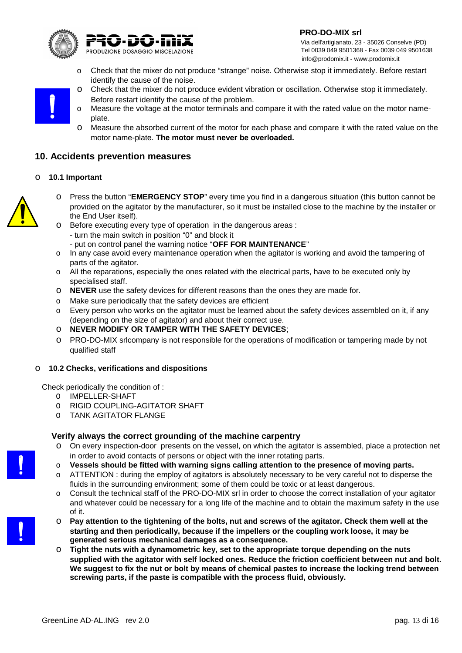

 Via dell'artigianato, 23 - 35026 Conselve (PD) Tel 0039 049 9501368 - Fax 0039 049 9501638 info@prodomix.it - www.prodomix.it

- o Check that the mixer do not produce "strange" noise. Otherwise stop it immediately. Before restart identify the cause of the noise.
- o Check that the mixer do not produce evident vibration or oscillation. Otherwise stop it immediately. Before restart identify the cause of the problem.
- o Measure the voltage at the motor terminals and compare it with the rated value on the motor nameplate.
- o Measure the absorbed current of the motor for each phase and compare it with the rated value on the motor name-plate. **The motor must never be overloaded.**

#### **10. Accidents prevention measures**

#### o **10.1 Important**

- o Press the button "**EMERGENCY STOP**" every time you find in a dangerous situation (this button cannot be provided on the agitator by the manufacturer, so it must be installed close to the machine by the installer or the End User itself).
	- o Before executing every type of operation in the dangerous areas :
		- turn the main switch in position "0" and block it
		- put on control panel the warning notice "**OFF FOR MAINTENANCE**"
	- o In any case avoid every maintenance operation when the agitator is working and avoid the tampering of parts of the agitator.
	- o All the reparations, especially the ones related with the electrical parts, have to be executed only by specialised staff.
	- o **NEVER** use the safety devices for different reasons than the ones they are made for.
	- o Make sure periodically that the safety devices are efficient
	- o Every person who works on the agitator must be learned about the safety devices assembled on it, if any (depending on the size of agitator) and about their correct use.
	- o **NEVER MODIFY OR TAMPER WITH THE SAFETY DEVICES**;
	- o PRO-DO-MIX srlcompany is not responsible for the operations of modification or tampering made by not qualified staff

#### o **10.2 Checks, verifications and dispositions**

Check periodically the condition of :

- O IMPELLER-SHAFT
- O RIGID COUPLING-AGITATOR SHAFT
- O TANK AGITATOR FLANGE

#### **Verify always the correct grounding of the machine carpentry**

- o On every inspection-door presents on the vessel, on which the agitator is assembled, place a protection net in order to avoid contacts of persons or object with the inner rotating parts.
- o **Vessels should be fitted with warning signs calling attention to the presence of moving parts.**
- ATTENTION : during the employ of agitators is absolutely necessary to be very careful not to disperse the fluids in the surrounding environment; some of them could be toxic or at least dangerous.
- o Consult the technical staff of the PRO-DO-MIX srl in order to choose the correct installation of your agitator and whatever could be necessary for a long life of the machine and to obtain the maximum safety in the use of it.
- o **Pay attention to the tightening of the bolts, nut and screws of the agitator. Check them well at the starting and then periodically, because if the impellers or the coupling work loose, it may be generated serious mechanical damages as a consequence.**
- o **Tight the nuts with a dynamometric key, set to the appropriate torque depending on the nuts supplied with the agitator with self locked ones. Reduce the friction coefficient between nut and bolt. We suggest to fix the nut or bolt by means of chemical pastes to increase the locking trend between screwing parts, if the paste is compatible with the process fluid, obviously.**

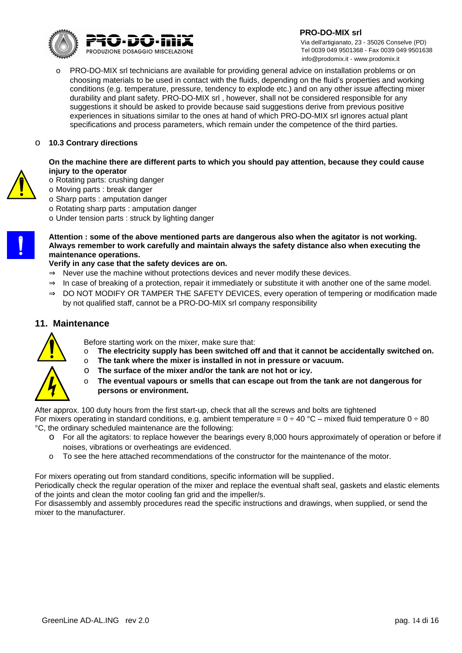

 **PRO-DO-MIX srl** Via dell'artigianato, 23 - 35026 Conselve (PD) Tel 0039 049 9501368 - Fax 0039 049 9501638 info@prodomix.it - www.prodomix.it

o PRO-DO-MIX srl technicians are available for providing general advice on installation problems or on choosing materials to be used in contact with the fluids, depending on the fluid's properties and working conditions (e.g. temperature, pressure, tendency to explode etc.) and on any other issue affecting mixer durability and plant safety. PRO-DO-MIX srl , however, shall not be considered responsible for any suggestions it should be asked to provide because said suggestions derive from previous positive experiences in situations similar to the ones at hand of which PRO-DO-MIX srl ignores actual plant specifications and process parameters, which remain under the competence of the third parties.

#### o **10.3 Contrary directions**

#### **On the machine there are different parts to which you should pay attention, because they could cause injury to the operator**



- o Rotating parts: crushing danger
- o Moving parts : break danger
- o Sharp parts : amputation danger
- o Rotating sharp parts : amputation danger
- o Under tension parts : struck by lighting danger

#### **Attention : some of the above mentioned parts are dangerous also when the agitator is not working. Always remember to work carefully and maintain always the safety distance also when executing the maintenance operations.**

**Verify in any case that the safety devices are on.**

- $\Rightarrow$  Never use the machine without protections devices and never modify these devices.
- $\Rightarrow$  In case of breaking of a protection, repair it immediately or substitute it with another one of the same model.
- $\Rightarrow$  DO NOT MODIFY OR TAMPER THE SAFETY DEVICES, every operation of tempering or modification made by not qualified staff, cannot be a PRO-DO-MIX srl company responsibility

#### **11. Maintenance**



- Before starting work on the mixer, make sure that:
- o **The electricity supply has been switched off and that it cannot be accidentally switched on.**
- o **The tank where the mixer is installed in not in pressure or vacuum.**
- o **The surface of the mixer and/or the tank are not hot or icy.**
- o **The eventual vapours or smells that can escape out from the tank are not dangerous for persons or environment.**

After approx. 100 duty hours from the first start-up, check that all the screws and bolts are tightened For mixers operating in standard conditions, e.g. ambient temperature =  $0 \div 40$  °C – mixed fluid temperature  $0 \div 80$ °C, the ordinary scheduled maintenance are the following:

- o For all the agitators: to replace however the bearings every 8,000 hours approximately of operation or before if noises, vibrations or overheatings are evidenced.
- o To see the here attached recommendations of the constructor for the maintenance of the motor.

For mixers operating out from standard conditions, specific information will be supplied.

Periodically check the regular operation of the mixer and replace the eventual shaft seal, gaskets and elastic elements of the joints and clean the motor cooling fan grid and the impeller/s.

For disassembly and assembly procedures read the specific instructions and drawings, when supplied, or send the mixer to the manufacturer.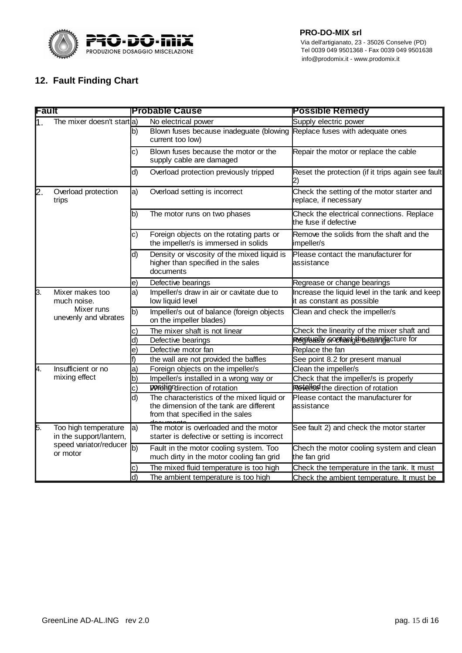

#### **12. Fault Finding Chart**

| Fault |                                                 |               | <b>Probable Cause</b>                                                                                                     | <b>Possible Remedy</b>                                                       |  |
|-------|-------------------------------------------------|---------------|---------------------------------------------------------------------------------------------------------------------------|------------------------------------------------------------------------------|--|
| I1    | The mixer doesn't start a)                      |               | No electrical power                                                                                                       | Supply electric power                                                        |  |
|       |                                                 | b)            | Blown fuses because inadeguate (blowing Replace fuses with adequate ones<br>current too low)                              |                                                                              |  |
|       |                                                 | C)            | Blown fuses because the motor or the<br>supply cable are damaged                                                          | Repair the motor or replace the cable                                        |  |
|       |                                                 | d)            | Overload protection previously tripped                                                                                    | Reset the protection (if it trips again see fault<br>2)                      |  |
| 2     | Overload protection<br>trips                    | $ a\rangle$   | Overload setting is incorrect                                                                                             | Check the setting of the motor starter and<br>replace, if necessary          |  |
|       |                                                 | b)            | The motor runs on two phases                                                                                              | Check the electrical connections. Replace<br>the fuse if defective           |  |
|       |                                                 | $\vert c)$    | Foreign objects on the rotating parts or<br>the impeller/s is immersed in solids                                          | Remove the solids from the shaft and the<br>impeller/s                       |  |
|       |                                                 | d)            | Density or viscosity of the mixed liquid is<br>higher than specified in the sales<br>documents                            | Please contact the manufacturer for<br>lassistance                           |  |
|       |                                                 | le)           | Defective bearings                                                                                                        | Regrease or change bearings                                                  |  |
| ß.    | Mixer makes too<br>much noise.                  | a)            | Impeller/s draw in air or cavitate due to<br>low liquid level                                                             | Increase the liquid level in the tank and keep<br>it as constant as possible |  |
|       | Mixer runs<br>unevenly and vibrates             | b)            | Impeller/s out of balance (foreign objects<br>on the impeller blades)                                                     | Clean and check the impeller/s                                               |  |
|       |                                                 | C)            | The mixer shaft is not linear                                                                                             | Check the linearity of the mixer shaft and                                   |  |
|       |                                                 | d)            | Defective bearings                                                                                                        | Regitually contactoth beganificture for                                      |  |
|       |                                                 | e)            | Defective motor fan                                                                                                       | Replace the fan                                                              |  |
|       |                                                 | f)            | the wall are not provided the baffles                                                                                     | See point 8.2 for present manual                                             |  |
| Ā.    | Insufficient or no                              | a)            | Foreign objects on the impeller/s                                                                                         | Clean the impeller/s                                                         |  |
|       | mixing effect                                   | b)            | Impeller/s installed in a wrong way or                                                                                    | Check that the impeller/s is properly                                        |  |
|       |                                                 | $\mathsf{c})$ | positigndirection of rotation                                                                                             | <b>Revelled</b> the direction of rotation                                    |  |
|       |                                                 | d)            | The characteristics of the mixed liquid or<br>the dimension of the tank are different<br>from that specified in the sales | Please contact the manufacturer for<br>lassistance                           |  |
| 5.    | Too high temperature<br>in the support/lantern, | a)            | The motor is overloaded and the motor<br>starter is defective or setting is incorrect                                     | See fault 2) and check the motor starter                                     |  |
|       | speed variator/reducer<br>or motor              | b)            | Fault in the motor cooling system. Too<br>much dirty in the motor cooling fan grid                                        | Chech the motor cooling system and clean<br>the fan grid                     |  |
|       |                                                 | C)            | The mixed fluid temperature is too high                                                                                   | Check the temperature in the tank. It must                                   |  |
|       |                                                 | ld)           | The ambient temperature is too high                                                                                       | Check the ambient temperature. It must be                                    |  |